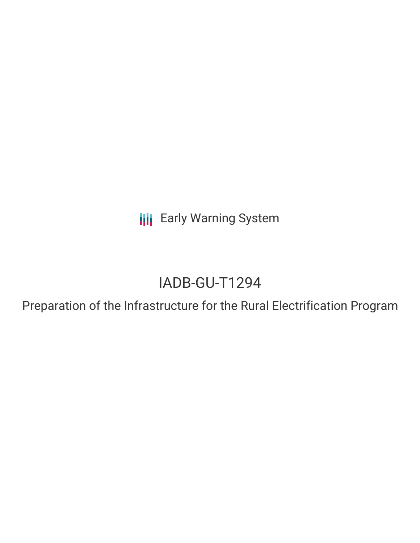**III** Early Warning System

# IADB-GU-T1294

Preparation of the Infrastructure for the Rural Electrification Program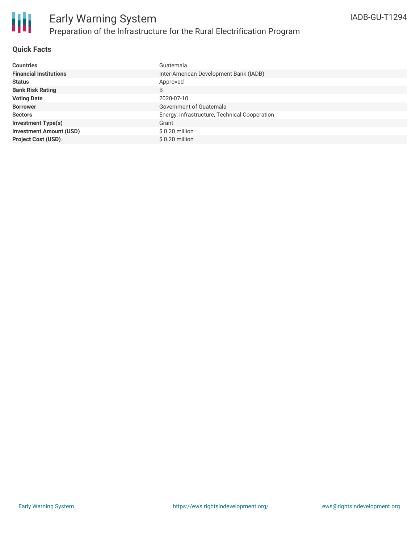

### **Quick Facts**

| <b>Countries</b>               | Guatemala                                     |
|--------------------------------|-----------------------------------------------|
| <b>Financial Institutions</b>  | Inter-American Development Bank (IADB)        |
| <b>Status</b>                  | Approved                                      |
| <b>Bank Risk Rating</b>        | B                                             |
| <b>Voting Date</b>             | 2020-07-10                                    |
| <b>Borrower</b>                | Government of Guatemala                       |
| <b>Sectors</b>                 | Energy, Infrastructure, Technical Cooperation |
| <b>Investment Type(s)</b>      | Grant                                         |
| <b>Investment Amount (USD)</b> | \$0.20 million                                |
| <b>Project Cost (USD)</b>      | $$0.20$ million                               |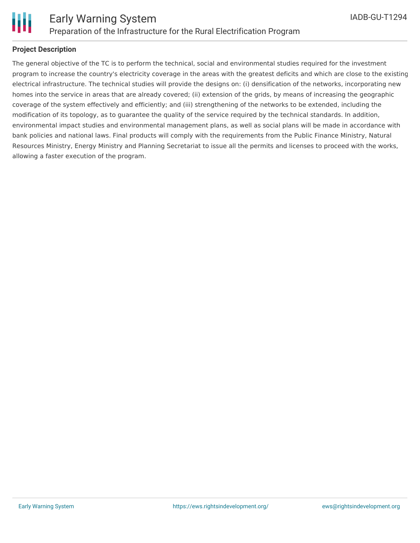

## **Project Description**

The general objective of the TC is to perform the technical, social and environmental studies required for the investment program to increase the country's electricity coverage in the areas with the greatest deficits and which are close to the existing electrical infrastructure. The technical studies will provide the designs on: (i) densification of the networks, incorporating new homes into the service in areas that are already covered; (ii) extension of the grids, by means of increasing the geographic coverage of the system effectively and efficiently; and (iii) strengthening of the networks to be extended, including the modification of its topology, as to guarantee the quality of the service required by the technical standards. In addition, environmental impact studies and environmental management plans, as well as social plans will be made in accordance with bank policies and national laws. Final products will comply with the requirements from the Public Finance Ministry, Natural Resources Ministry, Energy Ministry and Planning Secretariat to issue all the permits and licenses to proceed with the works, allowing a faster execution of the program.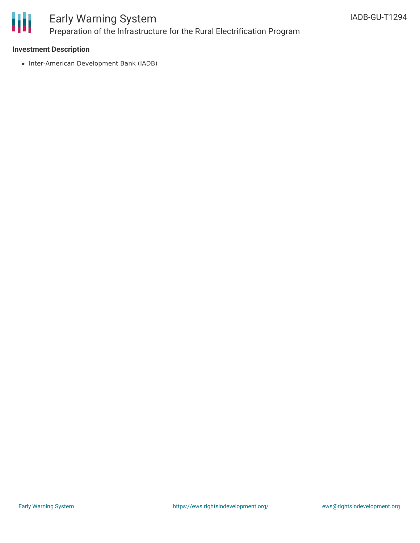

# Early Warning System Preparation of the Infrastructure for the Rural Electrification Program

### **Investment Description**

• Inter-American Development Bank (IADB)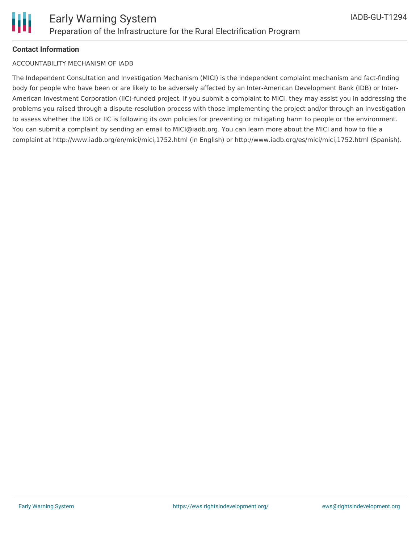#### **Contact Information**

#### ACCOUNTABILITY MECHANISM OF IADB

The Independent Consultation and Investigation Mechanism (MICI) is the independent complaint mechanism and fact-finding body for people who have been or are likely to be adversely affected by an Inter-American Development Bank (IDB) or Inter-American Investment Corporation (IIC)-funded project. If you submit a complaint to MICI, they may assist you in addressing the problems you raised through a dispute-resolution process with those implementing the project and/or through an investigation to assess whether the IDB or IIC is following its own policies for preventing or mitigating harm to people or the environment. You can submit a complaint by sending an email to MICI@iadb.org. You can learn more about the MICI and how to file a complaint at http://www.iadb.org/en/mici/mici,1752.html (in English) or http://www.iadb.org/es/mici/mici,1752.html (Spanish).